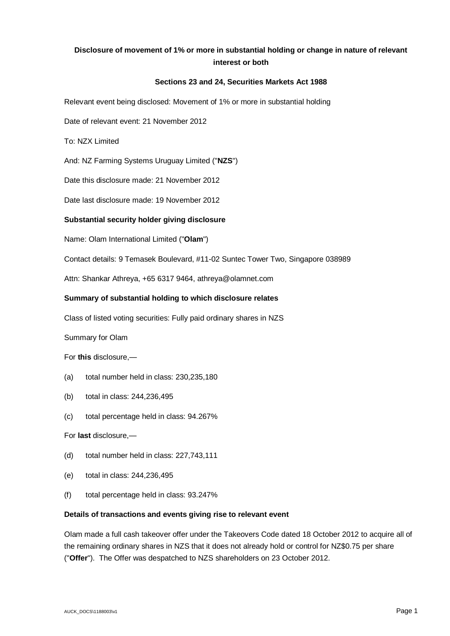# **Disclosure of movement of 1% or more in substantial holding or change in nature of relevant interest or both**

#### **Sections 23 and 24, Securities Markets Act 1988**

Relevant event being disclosed: Movement of 1% or more in substantial holding

Date of relevant event: 21 November 2012

To: NZX Limited

And: NZ Farming Systems Uruguay Limited ("**NZS**")

Date this disclosure made: 21 November 2012

Date last disclosure made: 19 November 2012

## **Substantial security holder giving disclosure**

Name: Olam International Limited ("**Olam**")

Contact details: 9 Temasek Boulevard, #11-02 Suntec Tower Two, Singapore 038989

Attn: Shankar Athreya, +65 6317 9464, athreya@olamnet.com

#### **Summary of substantial holding to which disclosure relates**

Class of listed voting securities: Fully paid ordinary shares in NZS

Summary for Olam

For **this** disclosure,—

- (a) total number held in class: 230,235,180
- (b) total in class: 244,236,495
- (c) total percentage held in class: 94.267%

For **last** disclosure,—

- (d) total number held in class: 227,743,111
- (e) total in class: 244,236,495
- (f) total percentage held in class: 93.247%

#### **Details of transactions and events giving rise to relevant event**

Olam made a full cash takeover offer under the Takeovers Code dated 18 October 2012 to acquire all of the remaining ordinary shares in NZS that it does not already hold or control for NZ\$0.75 per share ("**Offer**"). The Offer was despatched to NZS shareholders on 23 October 2012.